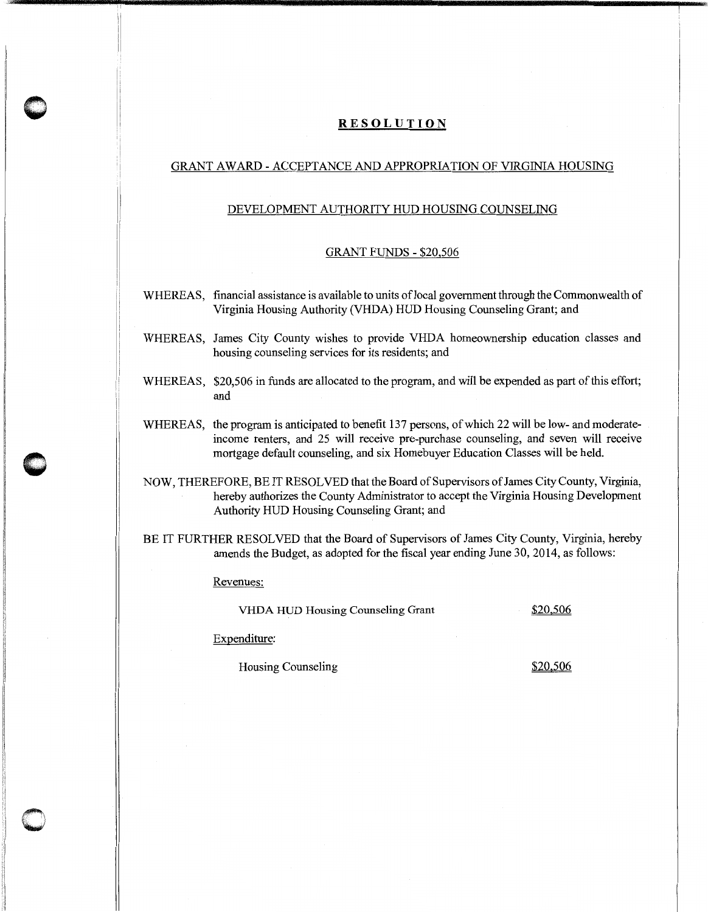## **RESOLUTION**

## GRANT AWARD - ACCEPTANCE AND APPROPRIATION OF VIRGINIA HOUSING

## DEVELOPMENT AUTHORITY HUD HOUSING COUNSELING

## GRANT FUNDS - \$20,506

- WHEREAS, financial assistance is available to units of local government through the Commonwealth of Virginia Housing Authority (VHDA) HUD Housing Counseling Grant; and
- WHEREAS, James City County wishes to provide VHDA homeownership education classes and housing counseling services for its residents; and
- WHEREAS, \$20,506 in funds are allocated to the program, and will be expended as part of this effort; and
- WHEREAS, the program is anticipated to benefit 137 persons, of which 22 will be low- and moderateincome renters, and 25 will receive pre-purchase counseling, and seven will receive mortgage default counseling, and six Homebuyer Education Classes will be held.
- NOW, THEREFORE, BE IT RESOLVED that the Board of Supervisors of James City County, Virginia, hereby authorizes the County Administrator to accept the Virginia Housing Development Authority HUD Housing Counseling Grant; and
- BE IT FURTHER RESOLVED that the Board of Supervisors of James City County, Virginia, hereby amends the Budget, as adopted for the fiscal year ending June 30, 2014, as follows:

Revenues:

**0** 

**c** 

VHDA HUD Housing Counseling Grant \$20,506

Expenditure:

Housing Counseling  $\frac{$20,506}{20}$